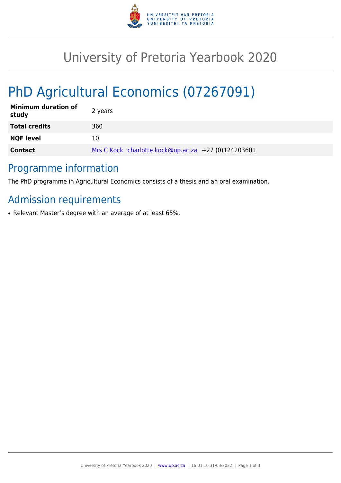

## University of Pretoria Yearbook 2020

# PhD Agricultural Economics (07267091)

| <b>Minimum duration of</b><br>study | 2 years                                             |
|-------------------------------------|-----------------------------------------------------|
| <b>Total credits</b>                | 360                                                 |
| <b>NQF level</b>                    | 10                                                  |
| <b>Contact</b>                      | Mrs C Kock charlotte.kock@up.ac.za +27 (0)124203601 |

### Programme information

The PhD programme in Agricultural Economics consists of a thesis and an oral examination.

## Admission requirements

• Relevant Master's degree with an average of at least 65%.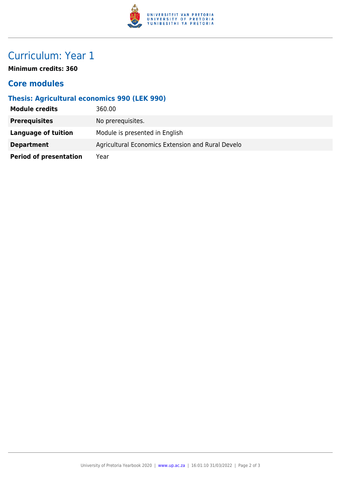

## Curriculum: Year 1

**Minimum credits: 360**

#### **Core modules**

#### **Thesis: Agricultural economics 990 (LEK 990)**

| <b>Module credits</b>         | 360.00                                            |
|-------------------------------|---------------------------------------------------|
| <b>Prerequisites</b>          | No prerequisites.                                 |
| Language of tuition           | Module is presented in English                    |
| <b>Department</b>             | Agricultural Economics Extension and Rural Develo |
| <b>Period of presentation</b> | Year                                              |